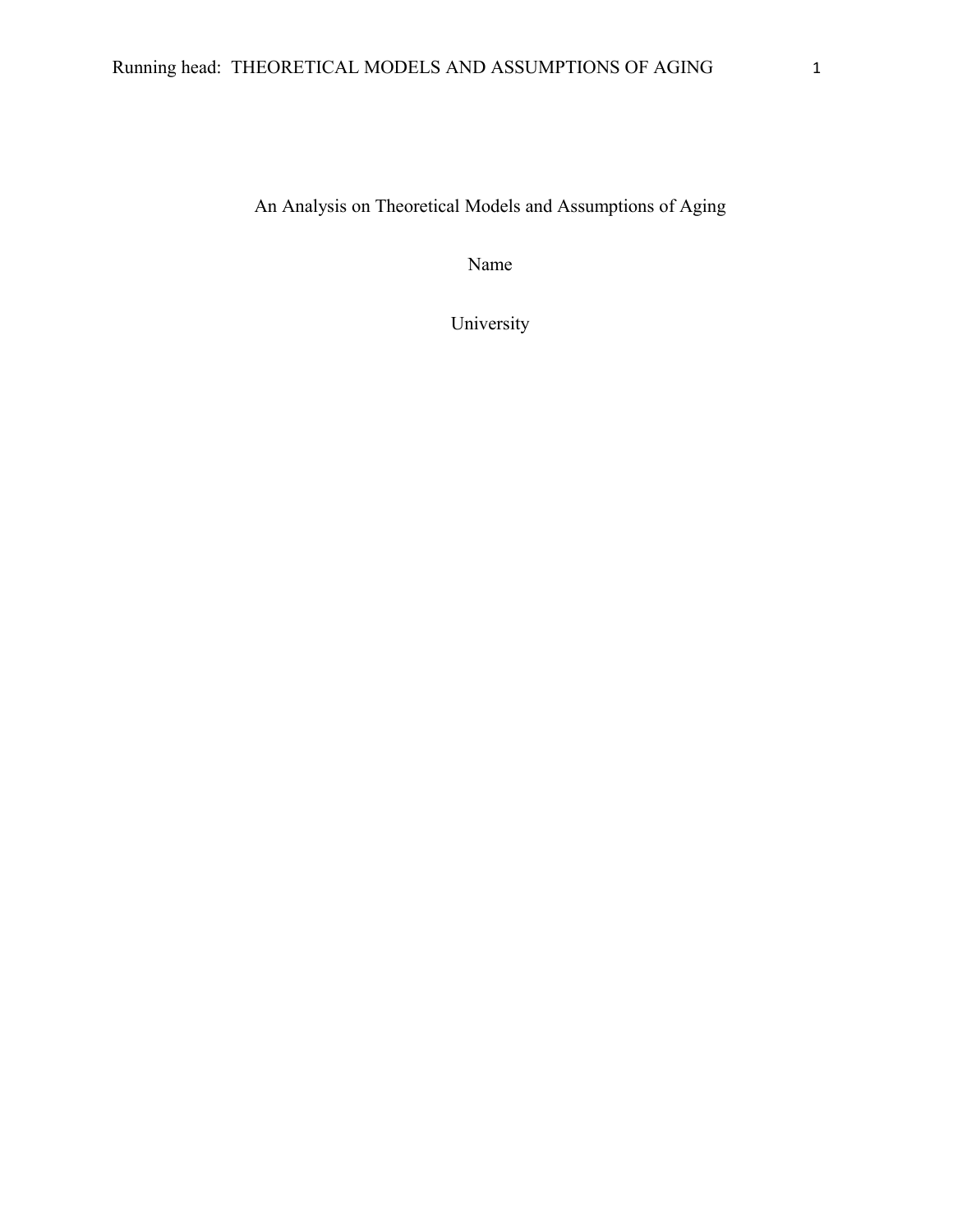An Analysis on Theoretical Models and Assumptions of Aging

Name

University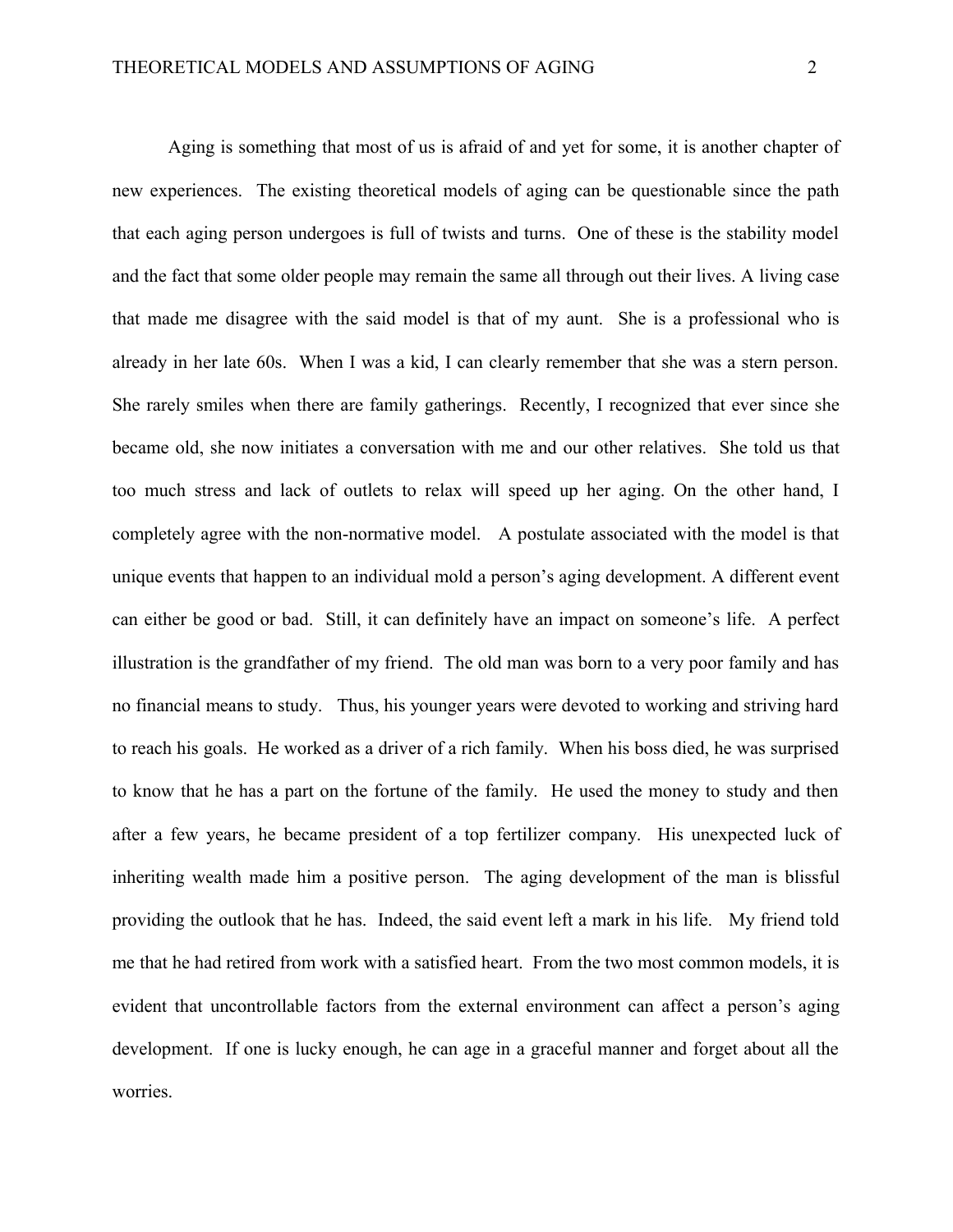Aging is something that most of us is afraid of and yet for some, it is another chapter of new experiences. The existing theoretical models of aging can be questionable since the path that each aging person undergoes is full of twists and turns. One of these is the stability model and the fact that some older people may remain the same all through out their lives. A living case that made me disagree with the said model is that of my aunt. She is a professional who is already in her late 60s. When I was a kid, I can clearly remember that she was a stern person. She rarely smiles when there are family gatherings. Recently, I recognized that ever since she became old, she now initiates a conversation with me and our other relatives. She told us that too much stress and lack of outlets to relax will speed up her aging. On the other hand, I completely agree with the non-normative model. A postulate associated with the model is that unique events that happen to an individual mold a person's aging development. A different event can either be good or bad. Still, it can definitely have an impact on someone's life. A perfect illustration is the grandfather of my friend. The old man was born to a very poor family and has no financial means to study. Thus, his younger years were devoted to working and striving hard to reach his goals. He worked as a driver of a rich family. When his boss died, he was surprised to know that he has a part on the fortune of the family. He used the money to study and then after a few years, he became president of a top fertilizer company. His unexpected luck of inheriting wealth made him a positive person. The aging development of the man is blissful providing the outlook that he has. Indeed, the said event left a mark in his life. My friend told me that he had retired from work with a satisfied heart. From the two most common models, it is evident that uncontrollable factors from the external environment can affect a person's aging development. If one is lucky enough, he can age in a graceful manner and forget about all the worries.